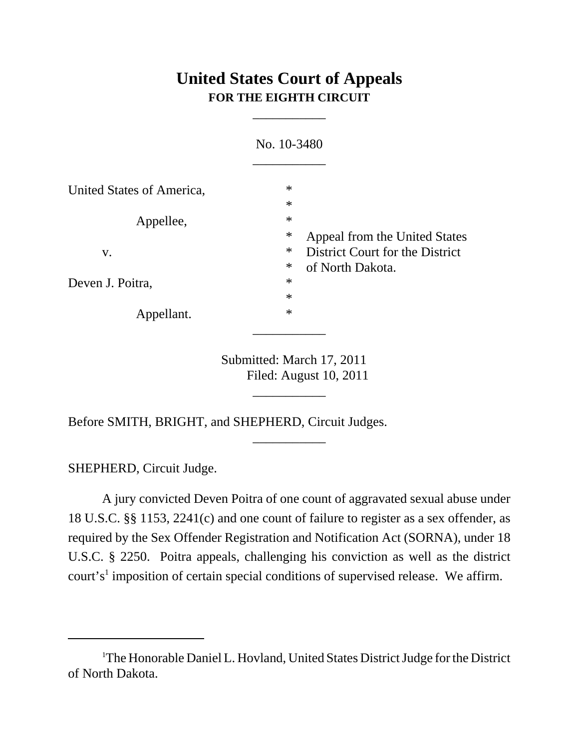# **United States Court of Appeals FOR THE EIGHTH CIRCUIT**

\_\_\_\_\_\_\_\_\_\_\_

|                           | No. 10-3480                                                             |
|---------------------------|-------------------------------------------------------------------------|
| United States of America, | $\ast$<br>$\ast$                                                        |
| Appellee,                 | $\ast$<br>$\ast$<br>Appeal from the United States                       |
| V.                        | $\ast$<br>District Court for the District<br>$\ast$<br>of North Dakota. |
| Deven J. Poitra,          | $\ast$<br>$\ast$                                                        |
| Appellant.                | $\ast$                                                                  |

Submitted: March 17, 2011 Filed: August 10, 2011 \_\_\_\_\_\_\_\_\_\_\_

\_\_\_\_\_\_\_\_\_\_\_

Before SMITH, BRIGHT, and SHEPHERD, Circuit Judges.

SHEPHERD, Circuit Judge.

A jury convicted Deven Poitra of one count of aggravated sexual abuse under 18 U.S.C. §§ 1153, 2241(c) and one count of failure to register as a sex offender, as required by the Sex Offender Registration and Notification Act (SORNA), under 18 U.S.C. § 2250. Poitra appeals, challenging his conviction as well as the district court's<sup>1</sup> imposition of certain special conditions of supervised release. We affirm.

<sup>&</sup>lt;sup>1</sup>The Honorable Daniel L. Hovland, United States District Judge for the District of North Dakota.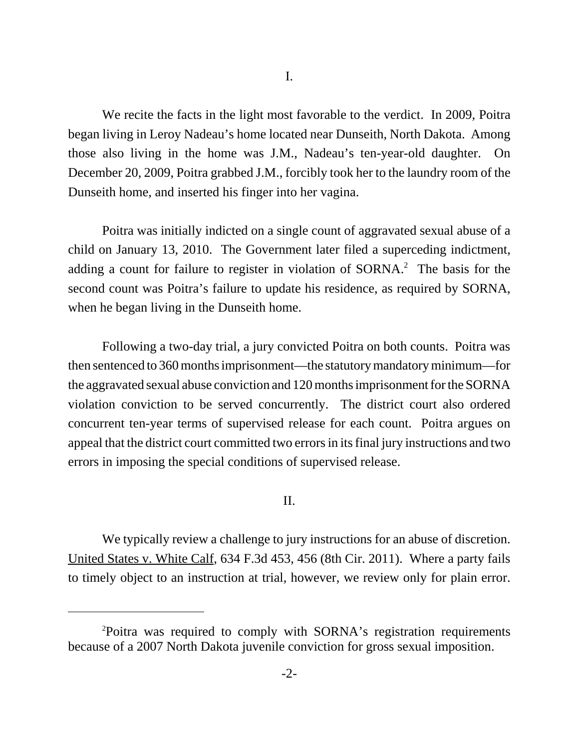We recite the facts in the light most favorable to the verdict. In 2009, Poitra began living in Leroy Nadeau's home located near Dunseith, North Dakota. Among those also living in the home was J.M., Nadeau's ten-year-old daughter. On December 20, 2009, Poitra grabbed J.M., forcibly took her to the laundry room of the Dunseith home, and inserted his finger into her vagina.

Poitra was initially indicted on a single count of aggravated sexual abuse of a child on January 13, 2010. The Government later filed a superceding indictment, adding a count for failure to register in violation of SORNA.<sup>2</sup> The basis for the second count was Poitra's failure to update his residence, as required by SORNA, when he began living in the Dunseith home.

Following a two-day trial, a jury convicted Poitra on both counts. Poitra was then sentenced to 360 months imprisonment—the statutory mandatory minimum—for the aggravated sexual abuse conviction and 120 months imprisonment for the SORNA violation conviction to be served concurrently. The district court also ordered concurrent ten-year terms of supervised release for each count. Poitra argues on appeal that the district court committed two errors in its final jury instructions and two errors in imposing the special conditions of supervised release.

### II.

We typically review a challenge to jury instructions for an abuse of discretion. United States v. White Calf, 634 F.3d 453, 456 (8th Cir. 2011). Where a party fails to timely object to an instruction at trial, however, we review only for plain error.

<sup>2</sup> Poitra was required to comply with SORNA's registration requirements because of a 2007 North Dakota juvenile conviction for gross sexual imposition.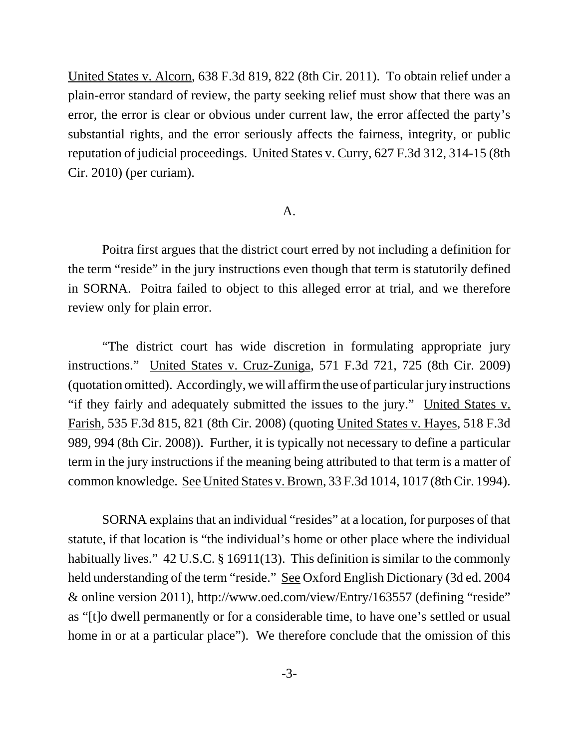United States v. Alcorn, 638 F.3d 819, 822 (8th Cir. 2011). To obtain relief under a plain-error standard of review, the party seeking relief must show that there was an error, the error is clear or obvious under current law, the error affected the party's substantial rights, and the error seriously affects the fairness, integrity, or public reputation of judicial proceedings. United States v. Curry, 627 F.3d 312, 314-15 (8th Cir. 2010) (per curiam).

#### A.

Poitra first argues that the district court erred by not including a definition for the term "reside" in the jury instructions even though that term is statutorily defined in SORNA. Poitra failed to object to this alleged error at trial, and we therefore review only for plain error.

"The district court has wide discretion in formulating appropriate jury instructions." United States v. Cruz-Zuniga, 571 F.3d 721, 725 (8th Cir. 2009) (quotation omitted). Accordingly, we will affirm the use of particular jury instructions "if they fairly and adequately submitted the issues to the jury." United States v. Farish, 535 F.3d 815, 821 (8th Cir. 2008) (quoting United States v. Hayes, 518 F.3d 989, 994 (8th Cir. 2008)). Further, it is typically not necessary to define a particular term in the jury instructions if the meaning being attributed to that term is a matter of common knowledge. See United States v. Brown, 33 F.3d 1014, 1017 (8th Cir. 1994).

SORNA explains that an individual "resides" at a location, for purposes of that statute, if that location is "the individual's home or other place where the individual habitually lives." 42 U.S.C. § 16911(13). This definition is similar to the commonly held understanding of the term "reside." See Oxford English Dictionary (3d ed. 2004 & online version 2011), http://www.oed.com/view/Entry/163557 (defining "reside" as "[t]o dwell permanently or for a considerable time, to have one's settled or usual home in or at a particular place"). We therefore conclude that the omission of this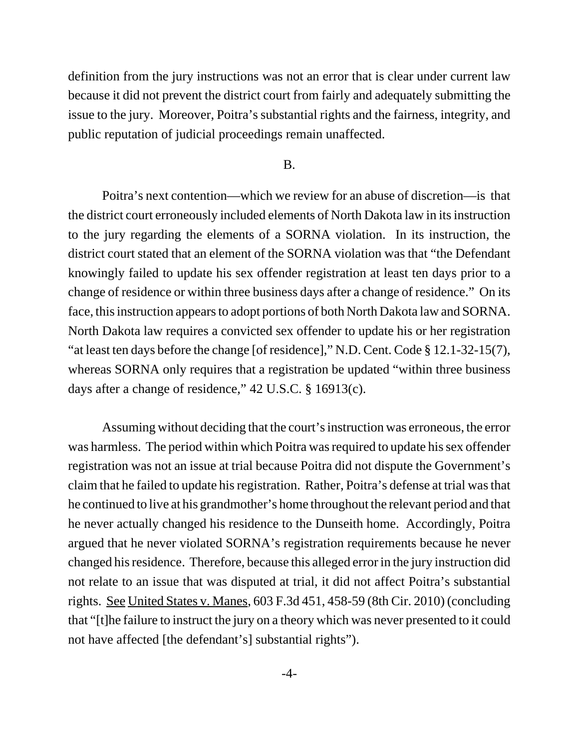definition from the jury instructions was not an error that is clear under current law because it did not prevent the district court from fairly and adequately submitting the issue to the jury. Moreover, Poitra's substantial rights and the fairness, integrity, and public reputation of judicial proceedings remain unaffected.

#### B.

Poitra's next contention—which we review for an abuse of discretion—is that the district court erroneously included elements of North Dakota law in its instruction to the jury regarding the elements of a SORNA violation. In its instruction, the district court stated that an element of the SORNA violation was that "the Defendant knowingly failed to update his sex offender registration at least ten days prior to a change of residence or within three business days after a change of residence." On its face, this instruction appears to adopt portions of both North Dakota law and SORNA. North Dakota law requires a convicted sex offender to update his or her registration "at least ten days before the change [of residence]," N.D. Cent. Code § 12.1-32-15(7), whereas SORNA only requires that a registration be updated "within three business" days after a change of residence," 42 U.S.C. § 16913(c).

Assuming without deciding that the court's instruction was erroneous, the error was harmless. The period within which Poitra was required to update his sex offender registration was not an issue at trial because Poitra did not dispute the Government's claim that he failed to update his registration. Rather, Poitra's defense at trial was that he continued to live at his grandmother's home throughout the relevant period and that he never actually changed his residence to the Dunseith home. Accordingly, Poitra argued that he never violated SORNA's registration requirements because he never changed his residence. Therefore, because this alleged error in the jury instruction did not relate to an issue that was disputed at trial, it did not affect Poitra's substantial rights. See United States v. Manes, 603 F.3d 451, 458-59 (8th Cir. 2010) (concluding that "[t]he failure to instruct the jury on a theory which was never presented to it could not have affected [the defendant's] substantial rights").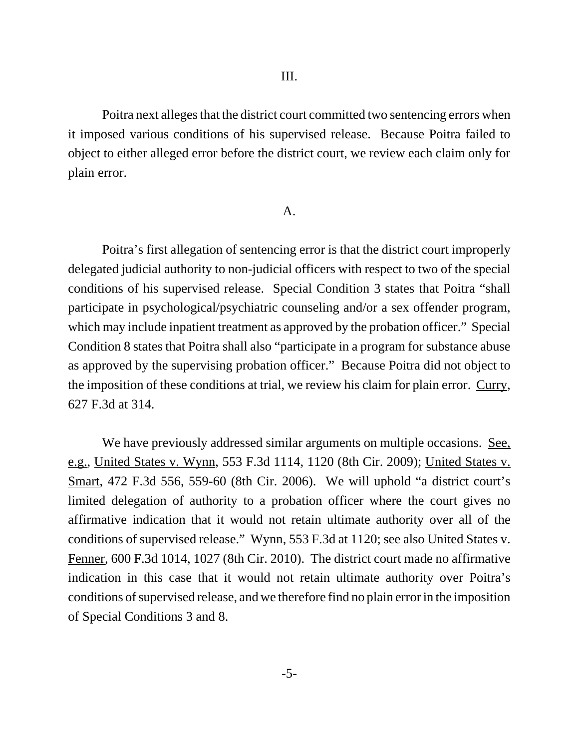Poitra next alleges that the district court committed two sentencing errors when it imposed various conditions of his supervised release. Because Poitra failed to object to either alleged error before the district court, we review each claim only for plain error.

#### A.

Poitra's first allegation of sentencing error is that the district court improperly delegated judicial authority to non-judicial officers with respect to two of the special conditions of his supervised release. Special Condition 3 states that Poitra "shall participate in psychological/psychiatric counseling and/or a sex offender program, which may include inpatient treatment as approved by the probation officer." Special Condition 8 states that Poitra shall also "participate in a program for substance abuse as approved by the supervising probation officer." Because Poitra did not object to the imposition of these conditions at trial, we review his claim for plain error. Curry, 627 F.3d at 314.

We have previously addressed similar arguments on multiple occasions. See, e.g., United States v. Wynn, 553 F.3d 1114, 1120 (8th Cir. 2009); United States v. Smart, 472 F.3d 556, 559-60 (8th Cir. 2006). We will uphold "a district court's limited delegation of authority to a probation officer where the court gives no affirmative indication that it would not retain ultimate authority over all of the conditions of supervised release." Wynn, 553 F.3d at 1120; see also United States v. Fenner, 600 F.3d 1014, 1027 (8th Cir. 2010). The district court made no affirmative indication in this case that it would not retain ultimate authority over Poitra's conditions of supervised release, and we therefore find no plain error in the imposition of Special Conditions 3 and 8.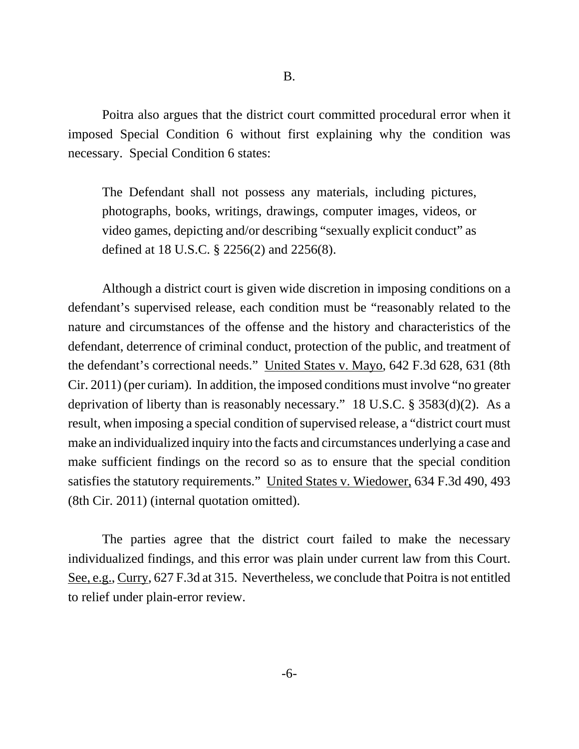Poitra also argues that the district court committed procedural error when it imposed Special Condition 6 without first explaining why the condition was necessary. Special Condition 6 states:

The Defendant shall not possess any materials, including pictures, photographs, books, writings, drawings, computer images, videos, or video games, depicting and/or describing "sexually explicit conduct" as defined at 18 U.S.C. § 2256(2) and 2256(8).

Although a district court is given wide discretion in imposing conditions on a defendant's supervised release, each condition must be "reasonably related to the nature and circumstances of the offense and the history and characteristics of the defendant, deterrence of criminal conduct, protection of the public, and treatment of the defendant's correctional needs." United States v. Mayo, 642 F.3d 628, 631 (8th Cir. 2011) (per curiam). In addition, the imposed conditions must involve "no greater deprivation of liberty than is reasonably necessary." 18 U.S.C. § 3583(d)(2). As a result, when imposing a special condition of supervised release, a "district court must make an individualized inquiry into the facts and circumstances underlying a case and make sufficient findings on the record so as to ensure that the special condition satisfies the statutory requirements." United States v. Wiedower, 634 F.3d 490, 493 (8th Cir. 2011) (internal quotation omitted).

The parties agree that the district court failed to make the necessary individualized findings, and this error was plain under current law from this Court. See, e.g., Curry, 627 F.3d at 315. Nevertheless, we conclude that Poitra is not entitled to relief under plain-error review.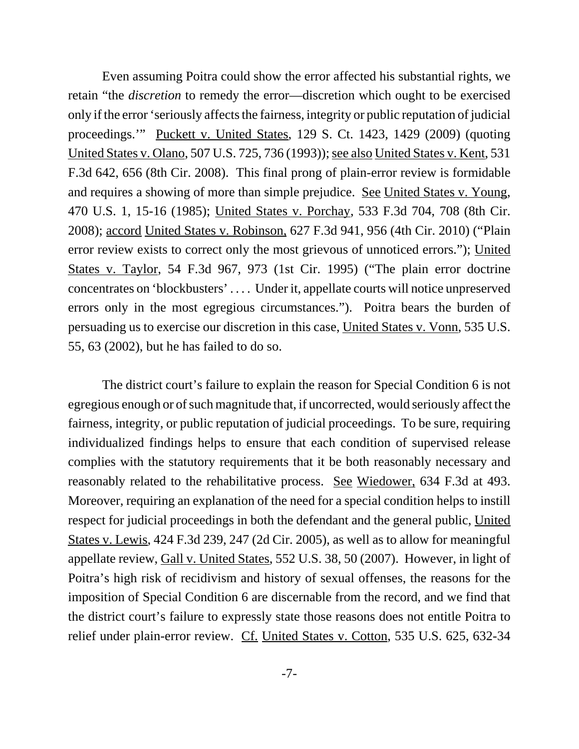Even assuming Poitra could show the error affected his substantial rights, we retain "the *discretion* to remedy the error—discretion which ought to be exercised only if the error 'seriously affects the fairness, integrity or public reputation of judicial proceedings.'" Puckett v. United States, 129 S. Ct. 1423, 1429 (2009) (quoting United States v. Olano, 507 U.S. 725, 736 (1993)); see also United States v. Kent, 531 F.3d 642, 656 (8th Cir. 2008). This final prong of plain-error review is formidable and requires a showing of more than simple prejudice. See United States v. Young, 470 U.S. 1, 15-16 (1985); United States v. Porchay, 533 F.3d 704, 708 (8th Cir. 2008); accord United States v. Robinson, 627 F.3d 941, 956 (4th Cir. 2010) ("Plain error review exists to correct only the most grievous of unnoticed errors."); United States v. Taylor, 54 F.3d 967, 973 (1st Cir. 1995) ("The plain error doctrine concentrates on 'blockbusters' . . . . Under it, appellate courts will notice unpreserved errors only in the most egregious circumstances."). Poitra bears the burden of persuading us to exercise our discretion in this case, United States v. Vonn, 535 U.S. 55, 63 (2002), but he has failed to do so.

The district court's failure to explain the reason for Special Condition 6 is not egregious enough or of such magnitude that, if uncorrected, would seriously affect the fairness, integrity, or public reputation of judicial proceedings. To be sure, requiring individualized findings helps to ensure that each condition of supervised release complies with the statutory requirements that it be both reasonably necessary and reasonably related to the rehabilitative process. See Wiedower, 634 F.3d at 493. Moreover, requiring an explanation of the need for a special condition helps to instill respect for judicial proceedings in both the defendant and the general public, United States v. Lewis, 424 F.3d 239, 247 (2d Cir. 2005), as well as to allow for meaningful appellate review, Gall v. United States, 552 U.S. 38, 50 (2007). However, in light of Poitra's high risk of recidivism and history of sexual offenses, the reasons for the imposition of Special Condition 6 are discernable from the record, and we find that the district court's failure to expressly state those reasons does not entitle Poitra to relief under plain-error review. Cf. United States v. Cotton, 535 U.S. 625, 632-34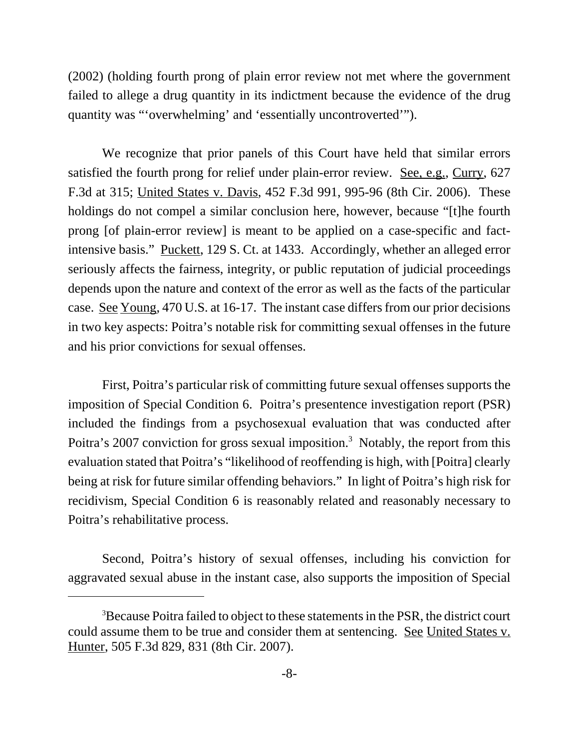(2002) (holding fourth prong of plain error review not met where the government failed to allege a drug quantity in its indictment because the evidence of the drug quantity was "'overwhelming' and 'essentially uncontroverted'").

We recognize that prior panels of this Court have held that similar errors satisfied the fourth prong for relief under plain-error review. See, e.g., Curry, 627 F.3d at 315; United States v. Davis, 452 F.3d 991, 995-96 (8th Cir. 2006). These holdings do not compel a similar conclusion here, however, because "[t]he fourth prong [of plain-error review] is meant to be applied on a case-specific and factintensive basis." Puckett, 129 S. Ct. at 1433. Accordingly, whether an alleged error seriously affects the fairness, integrity, or public reputation of judicial proceedings depends upon the nature and context of the error as well as the facts of the particular case. See Young, 470 U.S. at 16-17. The instant case differs from our prior decisions in two key aspects: Poitra's notable risk for committing sexual offenses in the future and his prior convictions for sexual offenses.

First, Poitra's particular risk of committing future sexual offenses supports the imposition of Special Condition 6. Poitra's presentence investigation report (PSR) included the findings from a psychosexual evaluation that was conducted after Poitra's 2007 conviction for gross sexual imposition.<sup>3</sup> Notably, the report from this evaluation stated that Poitra's "likelihood of reoffending is high, with [Poitra] clearly being at risk for future similar offending behaviors." In light of Poitra's high risk for recidivism, Special Condition 6 is reasonably related and reasonably necessary to Poitra's rehabilitative process.

Second, Poitra's history of sexual offenses, including his conviction for aggravated sexual abuse in the instant case, also supports the imposition of Special

<sup>&</sup>lt;sup>3</sup>Because Poitra failed to object to these statements in the PSR, the district court could assume them to be true and consider them at sentencing. See United States v. Hunter, 505 F.3d 829, 831 (8th Cir. 2007).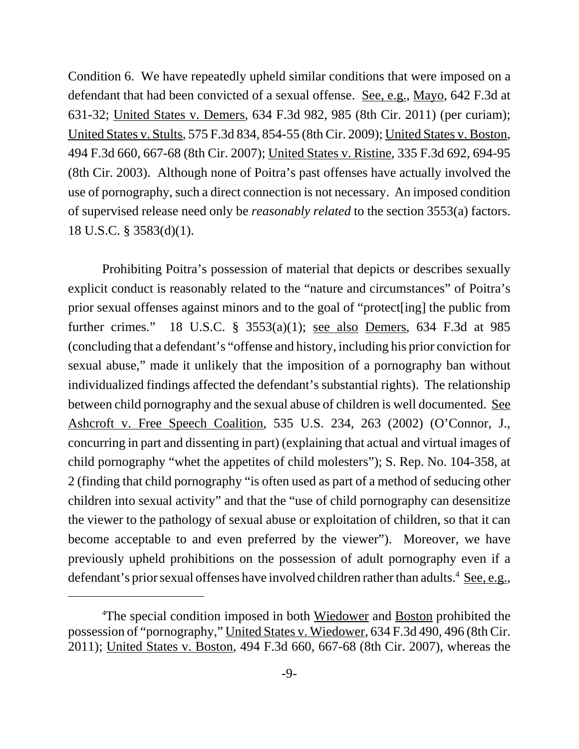Condition 6. We have repeatedly upheld similar conditions that were imposed on a defendant that had been convicted of a sexual offense. See, e.g., Mayo, 642 F.3d at 631-32; United States v. Demers, 634 F.3d 982, 985 (8th Cir. 2011) (per curiam); United States v. Stults, 575 F.3d 834, 854-55 (8th Cir. 2009); United States v. Boston, 494 F.3d 660, 667-68 (8th Cir. 2007); United States v. Ristine, 335 F.3d 692, 694-95 (8th Cir. 2003). Although none of Poitra's past offenses have actually involved the use of pornography, such a direct connection is not necessary. An imposed condition of supervised release need only be *reasonably related* to the section 3553(a) factors. 18 U.S.C. § 3583(d)(1).

Prohibiting Poitra's possession of material that depicts or describes sexually explicit conduct is reasonably related to the "nature and circumstances" of Poitra's prior sexual offenses against minors and to the goal of "protect[ing] the public from further crimes." 18 U.S.C. § 3553(a)(1); see also Demers, 634 F.3d at 985 (concluding that a defendant's "offense and history, including his prior conviction for sexual abuse," made it unlikely that the imposition of a pornography ban without individualized findings affected the defendant's substantial rights). The relationship between child pornography and the sexual abuse of children is well documented. See Ashcroft v. Free Speech Coalition, 535 U.S. 234, 263 (2002) (O'Connor, J., concurring in part and dissenting in part) (explaining that actual and virtual images of child pornography "whet the appetites of child molesters"); S. Rep. No. 104-358, at 2 (finding that child pornography "is often used as part of a method of seducing other children into sexual activity" and that the "use of child pornography can desensitize the viewer to the pathology of sexual abuse or exploitation of children, so that it can become acceptable to and even preferred by the viewer"). Moreover, we have previously upheld prohibitions on the possession of adult pornography even if a defendant's prior sexual offenses have involved children rather than adults.<sup>4</sup> See, e.g.,

<sup>&</sup>lt;sup>4</sup>The special condition imposed in both Wiedower and Boston prohibited the possession of "pornography," United States v. Wiedower, 634 F.3d 490, 496 (8th Cir. 2011); United States v. Boston, 494 F.3d 660, 667-68 (8th Cir. 2007), whereas the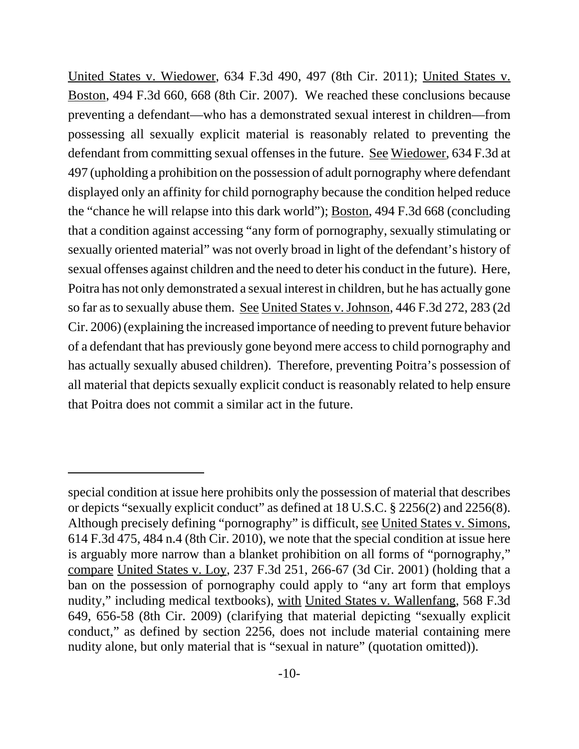United States v. Wiedower, 634 F.3d 490, 497 (8th Cir. 2011); United States v. Boston, 494 F.3d 660, 668 (8th Cir. 2007). We reached these conclusions because preventing a defendant—who has a demonstrated sexual interest in children—from possessing all sexually explicit material is reasonably related to preventing the defendant from committing sexual offenses in the future. See Wiedower, 634 F.3d at 497 (upholding a prohibition on the possession of adult pornography where defendant displayed only an affinity for child pornography because the condition helped reduce the "chance he will relapse into this dark world"); Boston, 494 F.3d 668 (concluding that a condition against accessing "any form of pornography, sexually stimulating or sexually oriented material" was not overly broad in light of the defendant's history of sexual offenses against children and the need to deter his conduct in the future). Here, Poitra has not only demonstrated a sexual interest in children, but he has actually gone so far as to sexually abuse them. See United States v. Johnson, 446 F.3d 272, 283 (2d Cir. 2006) (explaining the increased importance of needing to prevent future behavior of a defendant that has previously gone beyond mere access to child pornography and has actually sexually abused children). Therefore, preventing Poitra's possession of all material that depicts sexually explicit conduct is reasonably related to help ensure that Poitra does not commit a similar act in the future.

special condition at issue here prohibits only the possession of material that describes or depicts "sexually explicit conduct" as defined at 18 U.S.C. § 2256(2) and 2256(8). Although precisely defining "pornography" is difficult, see United States v. Simons, 614 F.3d 475, 484 n.4 (8th Cir. 2010), we note that the special condition at issue here is arguably more narrow than a blanket prohibition on all forms of "pornography," compare United States v. Loy, 237 F.3d 251, 266-67 (3d Cir. 2001) (holding that a ban on the possession of pornography could apply to "any art form that employs nudity," including medical textbooks), with United States v. Wallenfang, 568 F.3d 649, 656-58 (8th Cir. 2009) (clarifying that material depicting "sexually explicit conduct," as defined by section 2256, does not include material containing mere nudity alone, but only material that is "sexual in nature" (quotation omitted)).